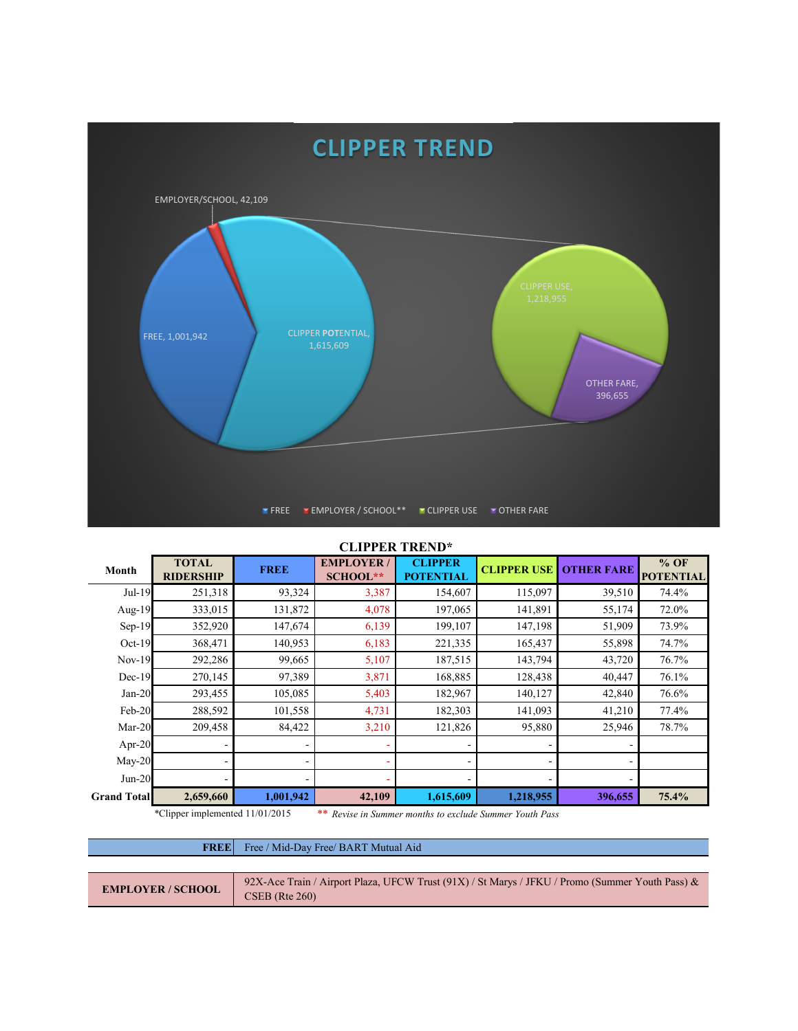

## **CLIPPER TREND\***

| Month              | <b>TOTAL</b><br><b>RIDERSHIP</b> | <b>FREE</b> | <b>EMPLOYER/</b><br><b>SCHOOL**</b> | <b>CLIPPER</b><br><b>POTENTIAL</b> | <b>CLIPPER USE</b> | <b>OTHER FARE</b> | $%$ OF<br><b>POTENTIAL</b> |
|--------------------|----------------------------------|-------------|-------------------------------------|------------------------------------|--------------------|-------------------|----------------------------|
| Jul-19             | 251,318                          | 93,324      | 3,387                               | 154,607                            | 115,097            | 39,510            | 74.4%                      |
| Aug- $19$          | 333,015                          | 131,872     | 4,078                               | 197,065                            | 141,891            | 55,174            | 72.0%                      |
| $Sep-19$           | 352,920                          | 147,674     | 6,139                               | 199,107                            | 147,198            | 51,909            | 73.9%                      |
| $Oct-19$           | 368,471                          | 140,953     | 6,183                               | 221,335                            | 165,437            | 55,898            | 74.7%                      |
| $Nov-19$           | 292,286                          | 99,665      | 5,107                               | 187,515                            | 143,794            | 43,720            | 76.7%                      |
| $Dec-19$           | 270,145                          | 97,389      | 3,871                               | 168,885                            | 128,438            | 40,447            | 76.1%                      |
| $Jan-20$           | 293,455                          | 105,085     | 5,403                               | 182,967                            | 140,127            | 42,840            | 76.6%                      |
| Feb-20             | 288,592                          | 101,558     | 4,731                               | 182,303                            | 141,093            | 41,210            | 77.4%                      |
| $Mar-20$           | 209,458                          | 84,422      | 3,210                               | 121,826                            | 95,880             | 25,946            | 78.7%                      |
| Apr-20             |                                  |             |                                     |                                    |                    |                   |                            |
| $May-20$           |                                  |             |                                     |                                    |                    |                   |                            |
| $Jun-20$           |                                  |             |                                     |                                    |                    |                   |                            |
| <b>Grand Total</b> | 2,659,660                        | 1,001,942   | 42,109                              | 1,615,609                          | 1,218,955          | 396,655           | 75.4%                      |

\*Clipper implemented 11/01/2015 *\*\* Revise in Summer months to exclude Summer Youth Pass*

## **FREE** Free / Mid-Day Free/ BART Mutual Aid

| <b>EMPLOYER / SCHOOL</b> | 92X-Ace Train / Airport Plaza, UFCW Trust (91X) / St Marys / JFKU / Promo (Summer Youth Pass) $\&$ |
|--------------------------|----------------------------------------------------------------------------------------------------|
|                          | $CSEB$ (Rte 260)                                                                                   |